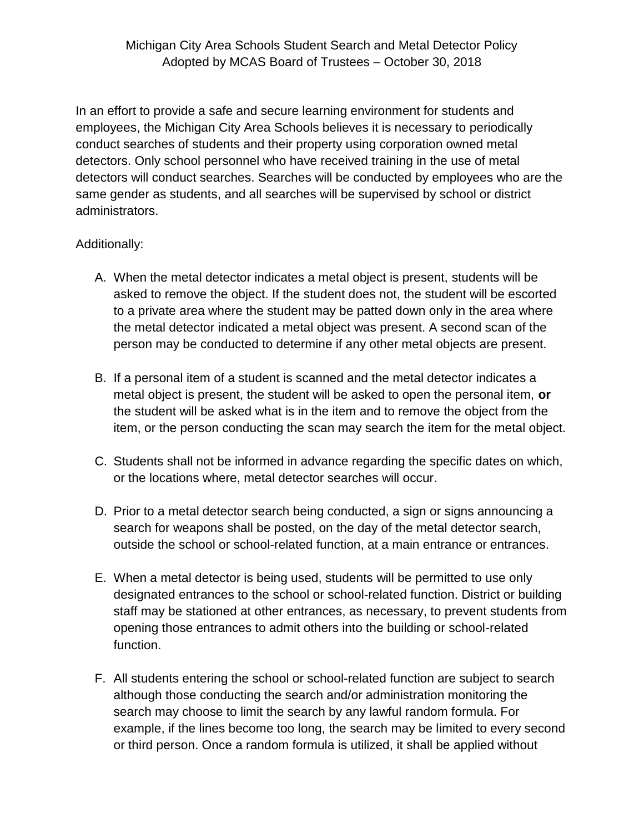## Michigan City Area Schools Student Search and Metal Detector Policy Adopted by MCAS Board of Trustees – October 30, 2018

In an effort to provide a safe and secure learning environment for students and employees, the Michigan City Area Schools believes it is necessary to periodically conduct searches of students and their property using corporation owned metal detectors. Only school personnel who have received training in the use of metal detectors will conduct searches. Searches will be conducted by employees who are the same gender as students, and all searches will be supervised by school or district administrators.

## Additionally:

- A. When the metal detector indicates a metal object is present, students will be asked to remove the object. If the student does not, the student will be escorted to a private area where the student may be patted down only in the area where the metal detector indicated a metal object was present. A second scan of the person may be conducted to determine if any other metal objects are present.
- B. If a personal item of a student is scanned and the metal detector indicates a metal object is present, the student will be asked to open the personal item, **or**  the student will be asked what is in the item and to remove the object from the item, or the person conducting the scan may search the item for the metal object.
- C. Students shall not be informed in advance regarding the specific dates on which, or the locations where, metal detector searches will occur.
- D. Prior to a metal detector search being conducted, a sign or signs announcing a search for weapons shall be posted, on the day of the metal detector search, outside the school or school-related function, at a main entrance or entrances.
- E. When a metal detector is being used, students will be permitted to use only designated entrances to the school or school-related function. District or building staff may be stationed at other entrances, as necessary, to prevent students from opening those entrances to admit others into the building or school-related function.
- F. All students entering the school or school-related function are subject to search although those conducting the search and/or administration monitoring the search may choose to limit the search by any lawful random formula. For example, if the lines become too long, the search may be limited to every second or third person. Once a random formula is utilized, it shall be applied without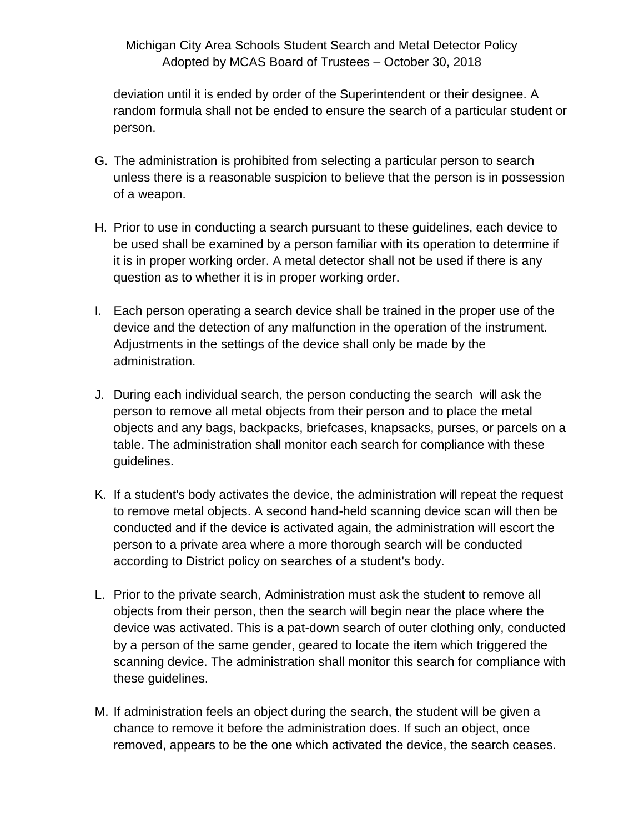## Michigan City Area Schools Student Search and Metal Detector Policy Adopted by MCAS Board of Trustees – October 30, 2018

deviation until it is ended by order of the Superintendent or their designee. A random formula shall not be ended to ensure the search of a particular student or person.

- G. The administration is prohibited from selecting a particular person to search unless there is a reasonable suspicion to believe that the person is in possession of a weapon.
- H. Prior to use in conducting a search pursuant to these guidelines, each device to be used shall be examined by a person familiar with its operation to determine if it is in proper working order. A metal detector shall not be used if there is any question as to whether it is in proper working order.
- I. Each person operating a search device shall be trained in the proper use of the device and the detection of any malfunction in the operation of the instrument. Adjustments in the settings of the device shall only be made by the administration.
- J. During each individual search, the person conducting the search will ask the person to remove all metal objects from their person and to place the metal objects and any bags, backpacks, briefcases, knapsacks, purses, or parcels on a table. The administration shall monitor each search for compliance with these guidelines.
- K. If a student's body activates the device, the administration will repeat the request to remove metal objects. A second hand-held scanning device scan will then be conducted and if the device is activated again, the administration will escort the person to a private area where a more thorough search will be conducted according to District policy on searches of a student's body.
- L. Prior to the private search, Administration must ask the student to remove all objects from their person, then the search will begin near the place where the device was activated. This is a pat-down search of outer clothing only, conducted by a person of the same gender, geared to locate the item which triggered the scanning device. The administration shall monitor this search for compliance with these guidelines.
- M. If administration feels an object during the search, the student will be given a chance to remove it before the administration does. If such an object, once removed, appears to be the one which activated the device, the search ceases.